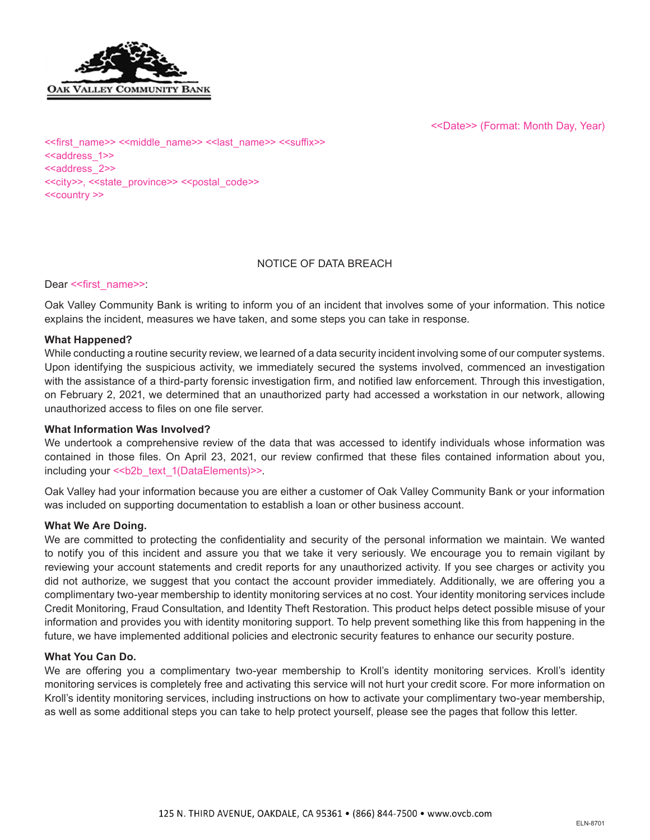

<<Date>> (Format: Month Day, Year)

<<first\_name>> <<middle\_name>> <<last\_name>> <<suffix>> <<address\_1>> <<address\_2>> <<city>>, <<state\_province>> <<postal\_code>> <<country >>

### NOTICE OF DATA BREACH

Dear << first\_name>>:

Oak Valley Community Bank is writing to inform you of an incident that involves some of your information. This notice explains the incident, measures we have taken, and some steps you can take in response.

### **What Happened?**

While conducting a routine security review, we learned of a data security incident involving some of our computer systems. Upon identifying the suspicious activity, we immediately secured the systems involved, commenced an investigation with the assistance of a third-party forensic investigation firm, and notified law enforcement. Through this investigation, on February 2, 2021, we determined that an unauthorized party had accessed a workstation in our network, allowing unauthorized access to files on one file server.

### **What Information Was Involved?**

We undertook a comprehensive review of the data that was accessed to identify individuals whose information was contained in those files. On April 23, 2021, our review confirmed that these files contained information about you, including your << b2b text 1(DataElements)>>.

Oak Valley had your information because you are either a customer of Oak Valley Community Bank or your information was included on supporting documentation to establish a loan or other business account.

#### **What We Are Doing.**

We are committed to protecting the confidentiality and security of the personal information we maintain. We wanted to notify you of this incident and assure you that we take it very seriously. We encourage you to remain vigilant by reviewing your account statements and credit reports for any unauthorized activity. If you see charges or activity you did not authorize, we suggest that you contact the account provider immediately. Additionally, we are offering you a complimentary two-year membership to identity monitoring services at no cost. Your identity monitoring services include Credit Monitoring, Fraud Consultation, and Identity Theft Restoration. This product helps detect possible misuse of your information and provides you with identity monitoring support. To help prevent something like this from happening in the future, we have implemented additional policies and electronic security features to enhance our security posture.

### **What You Can Do.**

We are offering you a complimentary two-year membership to Kroll's identity monitoring services. Kroll's identity monitoring services is completely free and activating this service will not hurt your credit score. For more information on Kroll's identity monitoring services, including instructions on how to activate your complimentary two-year membership, as well as some additional steps you can take to help protect yourself, please see the pages that follow this letter.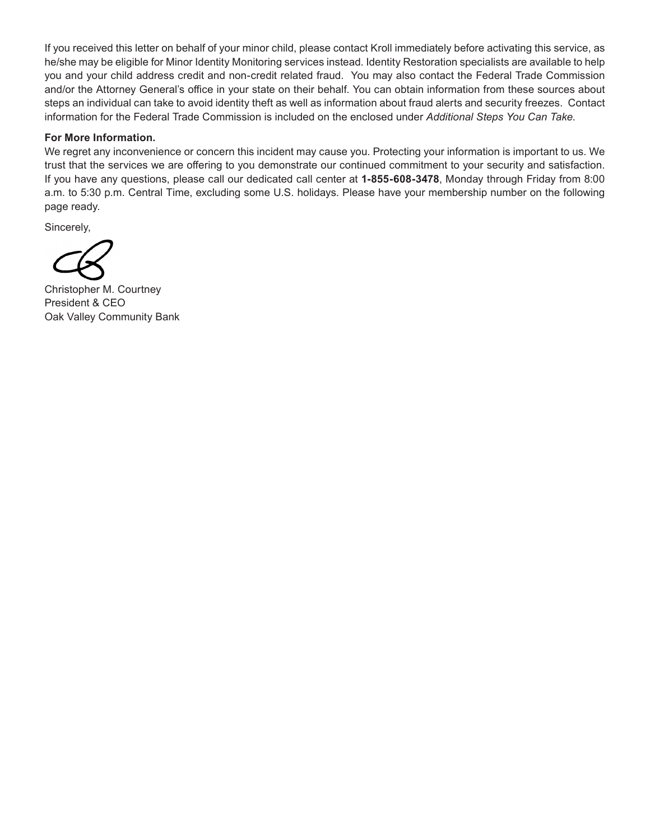If you received this letter on behalf of your minor child, please contact Kroll immediately before activating this service, as he/she may be eligible for Minor Identity Monitoring services instead. Identity Restoration specialists are available to help you and your child address credit and non-credit related fraud. You may also contact the Federal Trade Commission and/or the Attorney General's office in your state on their behalf. You can obtain information from these sources about steps an individual can take to avoid identity theft as well as information about fraud alerts and security freezes. Contact information for the Federal Trade Commission is included on the enclosed under *Additional Steps You Can Take*.

### **For More Information.**

We regret any inconvenience or concern this incident may cause you. Protecting your information is important to us. We trust that the services we are offering to you demonstrate our continued commitment to your security and satisfaction. If you have any questions, please call our dedicated call center at **1-855-608-3478**, Monday through Friday from 8:00 a.m. to 5:30 p.m. Central Time, excluding some U.S. holidays. Please have your membership number on the following page ready.

Sincerely,

Christopher M. Courtney President & CEO Oak Valley Community Bank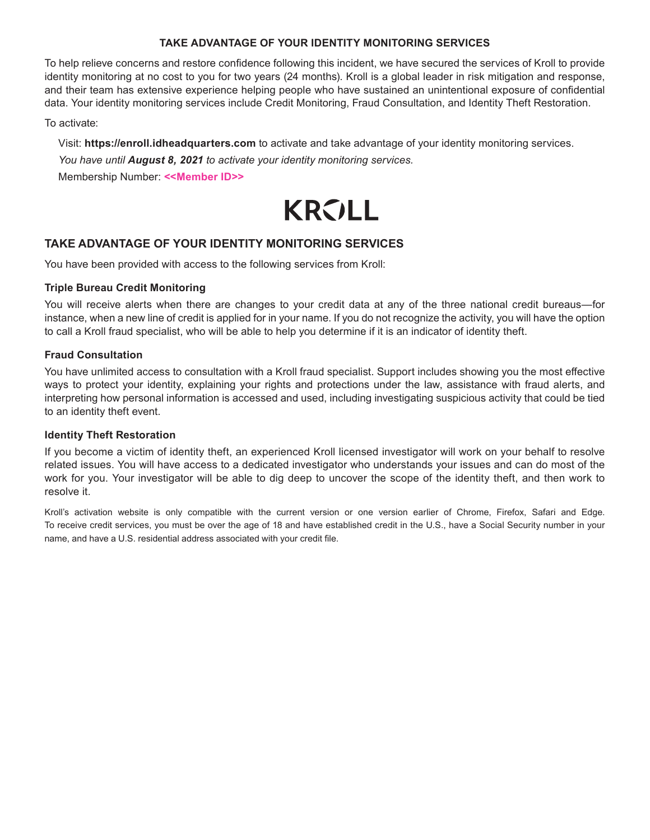# **TAKE ADVANTAGE OF YOUR IDENTITY MONITORING SERVICES**

To help relieve concerns and restore confidence following this incident, we have secured the services of Kroll to provide identity monitoring at no cost to you for two years (24 months). Kroll is a global leader in risk mitigation and response, and their team has extensive experience helping people who have sustained an unintentional exposure of confidential data. Your identity monitoring services include Credit Monitoring, Fraud Consultation, and Identity Theft Restoration.

To activate:

Visit: **https://enroll.idheadquarters.com** to activate and take advantage of your identity monitoring services. *You have until August 8, 2021 to activate your identity monitoring services.* Membership Number: **<<Member ID>>**



# **TAKE ADVANTAGE OF YOUR IDENTITY MONITORING SERVICES**

You have been provided with access to the following services from Kroll:

# **Triple Bureau Credit Monitoring**

You will receive alerts when there are changes to your credit data at any of the three national credit bureaus—for instance, when a new line of credit is applied for in your name. If you do not recognize the activity, you will have the option to call a Kroll fraud specialist, who will be able to help you determine if it is an indicator of identity theft.

# **Fraud Consultation**

You have unlimited access to consultation with a Kroll fraud specialist. Support includes showing you the most effective ways to protect your identity, explaining your rights and protections under the law, assistance with fraud alerts, and interpreting how personal information is accessed and used, including investigating suspicious activity that could be tied to an identity theft event.

# **Identity Theft Restoration**

If you become a victim of identity theft, an experienced Kroll licensed investigator will work on your behalf to resolve related issues. You will have access to a dedicated investigator who understands your issues and can do most of the work for you. Your investigator will be able to dig deep to uncover the scope of the identity theft, and then work to resolve it.

Kroll's activation website is only compatible with the current version or one version earlier of Chrome, Firefox, Safari and Edge. To receive credit services, you must be over the age of 18 and have established credit in the U.S., have a Social Security number in your name, and have a U.S. residential address associated with your credit file.